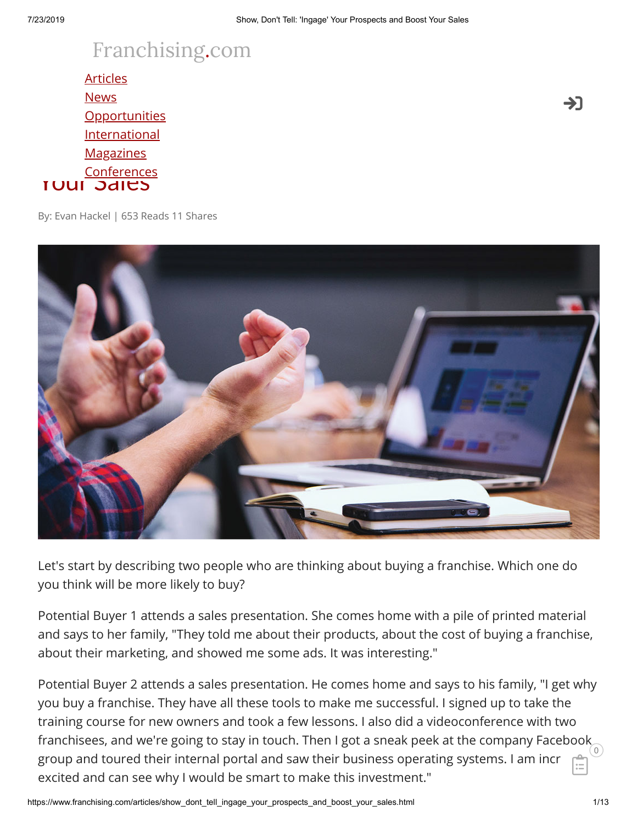# [Franchising.com](https://www.franchising.com/)

<u>[Opportunities](https://www.franchising.com/opportunities/)</u> <u>Show, Don't Tell: 'Inggrished' Your Prospects and Booster and Booster and Booster and Booster and Booster and Booster and Booster and Booster and Booster and Booster and Booster and Booster and Booster and Booster and Boo</u> Your Sales **[Articles](https://www.franchising.com/articles/) [News](https://www.franchising.com/news/) [International](https://www.franchising.com/international/) [Magazines](https://www.franchising.com/magazine/) [Conferences](https://www.franchising.com/conferences/)** 

By: Evan Hackel | 653 Reads 11 Shares



Let's start by describing two people who are thinking about buying a franchise. Which one do you think will be more likely to buy?

Potential Buyer 1 attends a sales presentation. She comes home with a pile of printed material and says to her family, "They told me about their products, about the cost of buying a franchise, about their marketing, and showed me some ads. It was interesting."

Potential Buyer 2 attends a sales presentation. He comes home and says to his family, "I get why you buy a franchise. They have all these tools to make me successful. I signed up to take the training course for new owners and took a few lessons. I also did a videoconference with two franchisees, and we're going to stay in touch. Then I got a sneak peek at the company Facebook  $\frac{1}{\sqrt{2}}$ group and toured their internal portal and saw their business operating systems. I am incr excited and can see why I would be smart to make this investment." ĖÏ

->]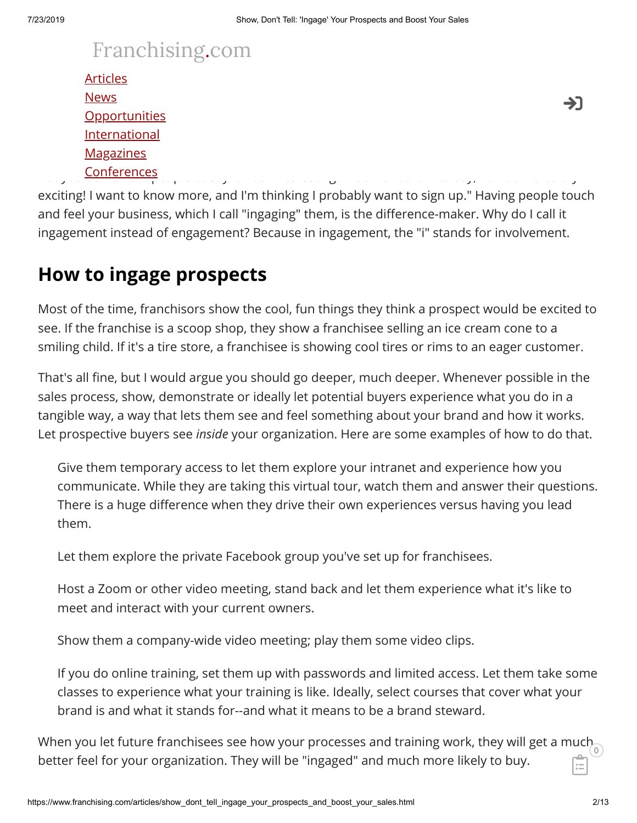#### $T$  answer is  $1$  have for  $\alpha$  about which prospect is more likely to buy. The takeaway I have for  $\alpha$ [Franchising.com](https://www.franchising.com/) want to sell more franchising that a picture is worth a picture is worth a picture is worth a picture is worth a picture is worth a picture is worth a picture in the old saying that a picture is word as a p

| <b>Articles</b>      |               |
|----------------------|---------------|
| <b>News</b>          | $\rightarrow$ |
| <b>Opportunities</b> |               |
| International        |               |
| <b>Magazines</b>     |               |
| Conferences          |               |

But you don't want people to say it was "interesting." You want them to say, "It was incredibly exciting! I want to know more, and I'm thinking I probably want to sign up." Having people touch and feel your business, which I call "ingaging" them, is the difference-maker. Why do I call it ingagement instead of engagement? Because in ingagement, the "i" stands for involvement. [Conferences](https://www.franchising.com/conferences/)

## **How to ingage prospects**

Most of the time, franchisors show the cool, fun things they think a prospect would be excited to see. If the franchise is a scoop shop, they show a franchisee selling an ice cream cone to a smiling child. If it's a tire store, a franchisee is showing cool tires or rims to an eager customer.

That's all fine, but I would argue you should go deeper, much deeper. Whenever possible in the sales process, show, demonstrate or ideally let potential buyers experience what you do in a tangible way, a way that lets them see and feel something about your brand and how it works. Let prospective buyers see *inside* your organization. Here are some examples of how to do that.

Give them temporary access to let them explore your intranet and experience how you communicate. While they are taking this virtual tour, watch them and answer their questions. There is a huge difference when they drive their own experiences versus having you lead them.

Let them explore the private Facebook group you've set up for franchisees.

Host a Zoom or other video meeting, stand back and let them experience what it's like to meet and interact with your current owners.

Show them a company-wide video meeting; play them some video clips.

If you do online training, set them up with passwords and limited access. Let them take some classes to experience what your training is like. Ideally, select courses that cover what your brand is and what it stands for--and what it means to be a brand steward.

When you let future franchisees see how your processes and training work, they will get a much  $_{\widehat{0}}$ better feel for your organization. They will be "ingaged" and much more likely to buy. ĖÏ